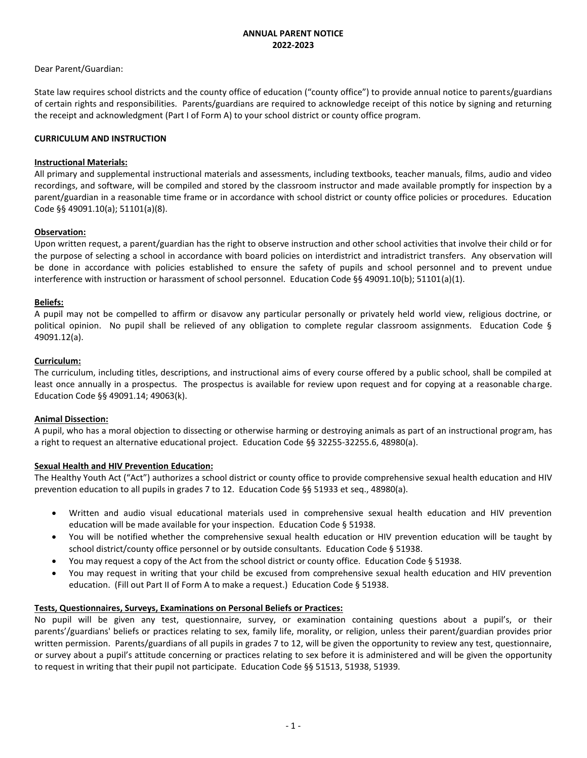### **ANNUAL PARENT NOTICE 2022-2023**

# Dear Parent/Guardian:

State law requires school districts and the county office of education ("county office") to provide annual notice to parents/guardians of certain rights and responsibilities. Parents/guardians are required to acknowledge receipt of this notice by signing and returning the receipt and acknowledgment (Part I of Form A) to your school district or county office program.

### **CURRICULUM AND INSTRUCTION**

### **Instructional Materials:**

All primary and supplemental instructional materials and assessments, including textbooks, teacher manuals, films, audio and video recordings, and software, will be compiled and stored by the classroom instructor and made available promptly for inspection by a parent/guardian in a reasonable time frame or in accordance with school district or county office policies or procedures. Education Code §§ 49091.10(a); 51101(a)(8).

### **Observation:**

Upon written request, a parent/guardian has the right to observe instruction and other school activities that involve their child or for the purpose of selecting a school in accordance with board policies on interdistrict and intradistrict transfers. Any observation will be done in accordance with policies established to ensure the safety of pupils and school personnel and to prevent undue interference with instruction or harassment of school personnel. Education Code §§ 49091.10(b); 51101(a)(1).

# **Beliefs:**

A pupil may not be compelled to affirm or disavow any particular personally or privately held world view, religious doctrine, or political opinion. No pupil shall be relieved of any obligation to complete regular classroom assignments. Education Code § 49091.12(a).

### **Curriculum:**

The curriculum, including titles, descriptions, and instructional aims of every course offered by a public school, shall be compiled at least once annually in a prospectus. The prospectus is available for review upon request and for copying at a reasonable charge. Education Code §§ 49091.14; 49063(k).

#### **Animal Dissection:**

A pupil, who has a moral objection to dissecting or otherwise harming or destroying animals as part of an instructional program, has a right to request an alternative educational project. Education Code §§ 32255-32255.6, 48980(a).

# **Sexual Health and HIV Prevention Education:**

The Healthy Youth Act ("Act") authorizes a school district or county office to provide comprehensive sexual health education and HIV prevention education to all pupils in grades 7 to 12. Education Code §§ 51933 et seq., 48980(a).

- Written and audio visual educational materials used in comprehensive sexual health education and HIV prevention education will be made available for your inspection. Education Code § 51938.
- You will be notified whether the comprehensive sexual health education or HIV prevention education will be taught by school district/county office personnel or by outside consultants. Education Code § 51938.
- You may request a copy of the Act from the school district or county office. Education Code § 51938.
- You may request in writing that your child be excused from comprehensive sexual health education and HIV prevention education. (Fill out Part II of Form A to make a request.) Education Code § 51938.

#### **Tests, Questionnaires, Surveys, Examinations on Personal Beliefs or Practices:**

No pupil will be given any test, questionnaire, survey, or examination containing questions about a pupil's, or their parents'/guardians' beliefs or practices relating to sex, family life, morality, or religion, unless their parent/guardian provides prior written permission. Parents/guardians of all pupils in grades 7 to 12, will be given the opportunity to review any test, questionnaire, or survey about a pupil's attitude concerning or practices relating to sex before it is administered and will be given the opportunity to request in writing that their pupil not participate. Education Code §§ 51513, 51938, 51939.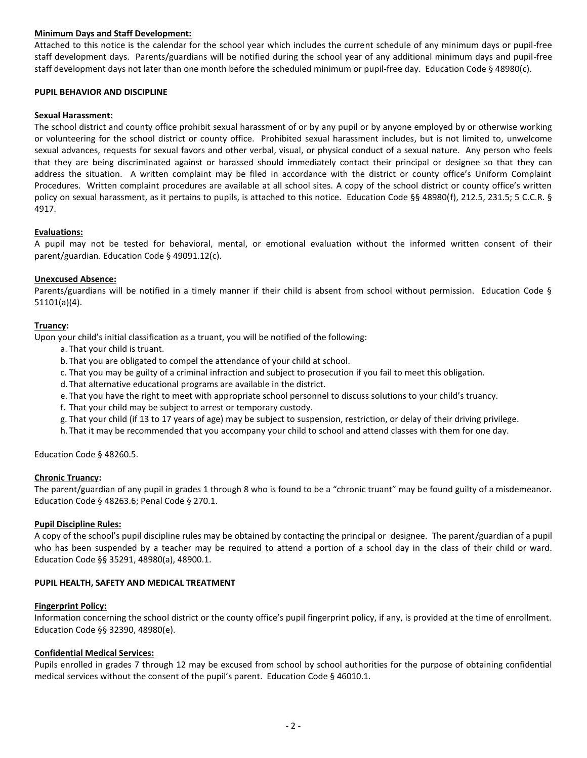# **Minimum Days and Staff Development:**

Attached to this notice is the calendar for the school year which includes the current schedule of any minimum days or pupil-free staff development days. Parents/guardians will be notified during the school year of any additional minimum days and pupil-free staff development days not later than one month before the scheduled minimum or pupil-free day. Education Code § 48980(c).

### **PUPIL BEHAVIOR AND DISCIPLINE**

### **Sexual Harassment:**

The school district and county office prohibit sexual harassment of or by any pupil or by anyone employed by or otherwise working or volunteering for the school district or county office. Prohibited sexual harassment includes, but is not limited to, unwelcome sexual advances, requests for sexual favors and other verbal, visual, or physical conduct of a sexual nature. Any person who feels that they are being discriminated against or harassed should immediately contact their principal or designee so that they can address the situation. A written complaint may be filed in accordance with the district or county office's Uniform Complaint Procedures. Written complaint procedures are available at all school sites. A copy of the school district or county office's written policy on sexual harassment, as it pertains to pupils, is attached to this notice. Education Code §§ 48980(f), 212.5, 231.5; 5 C.C.R. § 4917.

### **Evaluations:**

A pupil may not be tested for behavioral, mental, or emotional evaluation without the informed written consent of their parent/guardian. Education Code § 49091.12(c).

### **Unexcused Absence:**

Parents/guardians will be notified in a timely manner if their child is absent from school without permission. Education Code § 51101(a)(4).

### **Truancy:**

Upon your child's initial classification as a truant, you will be notified of the following:

- a. That your child is truant.
- b.That you are obligated to compel the attendance of your child at school.
- c. That you may be guilty of a criminal infraction and subject to prosecution if you fail to meet this obligation.
- d.That alternative educational programs are available in the district.
- e. That you have the right to meet with appropriate school personnel to discuss solutions to your child's truancy.
- f. That your child may be subject to arrest or temporary custody.
- g. That your child (if 13 to 17 years of age) may be subject to suspension, restriction, or delay of their driving privilege.
- h.That it may be recommended that you accompany your child to school and attend classes with them for one day.

Education Code § 48260.5.

#### **Chronic Truancy:**

The parent/guardian of any pupil in grades 1 through 8 who is found to be a "chronic truant" may be found guilty of a misdemeanor. Education Code § 48263.6; Penal Code § 270.1.

#### **Pupil Discipline Rules:**

A copy of the school's pupil discipline rules may be obtained by contacting the principal or designee. The parent/guardian of a pupil who has been suspended by a teacher may be required to attend a portion of a school day in the class of their child or ward. Education Code §§ 35291, 48980(a), 48900.1.

# **PUPIL HEALTH, SAFETY AND MEDICAL TREATMENT**

#### **Fingerprint Policy:**

Information concerning the school district or the county office's pupil fingerprint policy, if any, is provided at the time of enrollment. Education Code §§ 32390, 48980(e).

# **Confidential Medical Services:**

Pupils enrolled in grades 7 through 12 may be excused from school by school authorities for the purpose of obtaining confidential medical services without the consent of the pupil's parent. Education Code § 46010.1.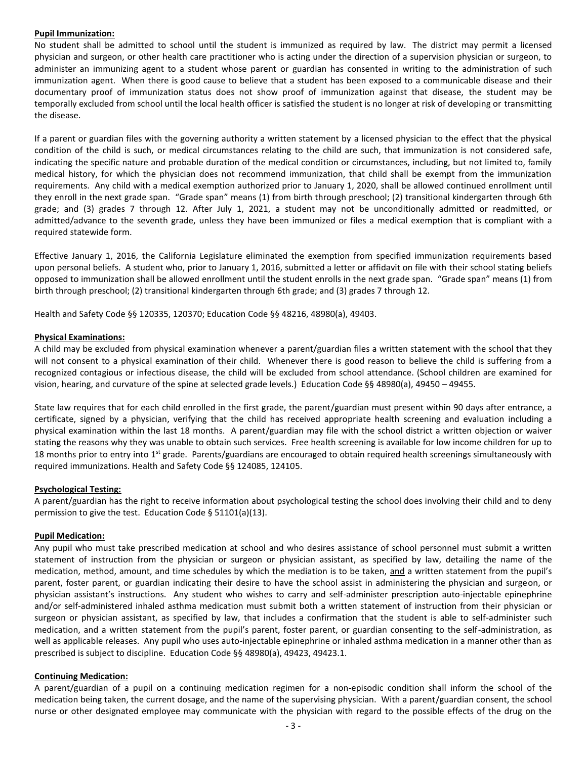### **Pupil Immunization:**

No student shall be admitted to school until the student is immunized as required by law. The district may permit a licensed physician and surgeon, or other health care practitioner who is acting under the direction of a supervision physician or surgeon, to administer an immunizing agent to a student whose parent or guardian has consented in writing to the administration of such immunization agent. When there is good cause to believe that a student has been exposed to a communicable disease and their documentary proof of immunization status does not show proof of immunization against that disease, the student may be temporally excluded from school until the local health officer is satisfied the student is no longer at risk of developing or transmitting the disease.

If a parent or guardian files with the governing authority a written statement by a licensed physician to the effect that the physical condition of the child is such, or medical circumstances relating to the child are such, that immunization is not considered safe, indicating the specific nature and probable duration of the medical condition or circumstances, including, but not limited to, family medical history, for which the physician does not recommend immunization, that child shall be exempt from the immunization requirements. Any child with a medical exemption authorized prior to January 1, 2020, shall be allowed continued enrollment until they enroll in the next grade span. "Grade span" means (1) from birth through preschool; (2) transitional kindergarten through 6th grade; and (3) grades 7 through 12. After July 1, 2021, a student may not be unconditionally admitted or readmitted, or admitted/advance to the seventh grade, unless they have been immunized or files a medical exemption that is compliant with a required statewide form.

Effective January 1, 2016, the California Legislature eliminated the exemption from specified immunization requirements based upon personal beliefs. A student who, prior to January 1, 2016, submitted a letter or affidavit on file with their school stating beliefs opposed to immunization shall be allowed enrollment until the student enrolls in the next grade span. "Grade span" means (1) from birth through preschool; (2) transitional kindergarten through 6th grade; and (3) grades 7 through 12.

Health and Safety Code §§ 120335, 120370; Education Code §§ 48216, 48980(a), 49403.

### **Physical Examinations:**

A child may be excluded from physical examination whenever a parent/guardian files a written statement with the school that they will not consent to a physical examination of their child. Whenever there is good reason to believe the child is suffering from a recognized contagious or infectious disease, the child will be excluded from school attendance. (School children are examined for vision, hearing, and curvature of the spine at selected grade levels.) Education Code §§ 48980(a), 49450 – 49455.

State law requires that for each child enrolled in the first grade, the parent/guardian must present within 90 days after entrance, a certificate, signed by a physician, verifying that the child has received appropriate health screening and evaluation including a physical examination within the last 18 months. A parent/guardian may file with the school district a written objection or waiver stating the reasons why they was unable to obtain such services. Free health screening is available for low income children for up to 18 months prior to entry into 1<sup>st</sup> grade. Parents/guardians are encouraged to obtain required health screenings simultaneously with required immunizations. Health and Safety Code §§ 124085, 124105.

#### **Psychological Testing:**

A parent/guardian has the right to receive information about psychological testing the school does involving their child and to deny permission to give the test. Education Code § 51101(a)(13).

#### **Pupil Medication:**

Any pupil who must take prescribed medication at school and who desires assistance of school personnel must submit a written statement of instruction from the physician or surgeon or physician assistant, as specified by law, detailing the name of the medication, method, amount, and time schedules by which the mediation is to be taken, and a written statement from the pupil's parent, foster parent, or guardian indicating their desire to have the school assist in administering the physician and surgeon, or physician assistant's instructions. Any student who wishes to carry and self-administer prescription auto-injectable epinephrine and/or self-administered inhaled asthma medication must submit both a written statement of instruction from their physician or surgeon or physician assistant, as specified by law, that includes a confirmation that the student is able to self-administer such medication, and a written statement from the pupil's parent, foster parent, or guardian consenting to the self-administration, as well as applicable releases. Any pupil who uses auto-injectable epinephrine or inhaled asthma medication in a manner other than as prescribed is subject to discipline. Education Code §§ 48980(a), 49423, 49423.1.

#### **Continuing Medication:**

A parent/guardian of a pupil on a continuing medication regimen for a non-episodic condition shall inform the school of the medication being taken, the current dosage, and the name of the supervising physician. With a parent/guardian consent, the school nurse or other designated employee may communicate with the physician with regard to the possible effects of the drug on the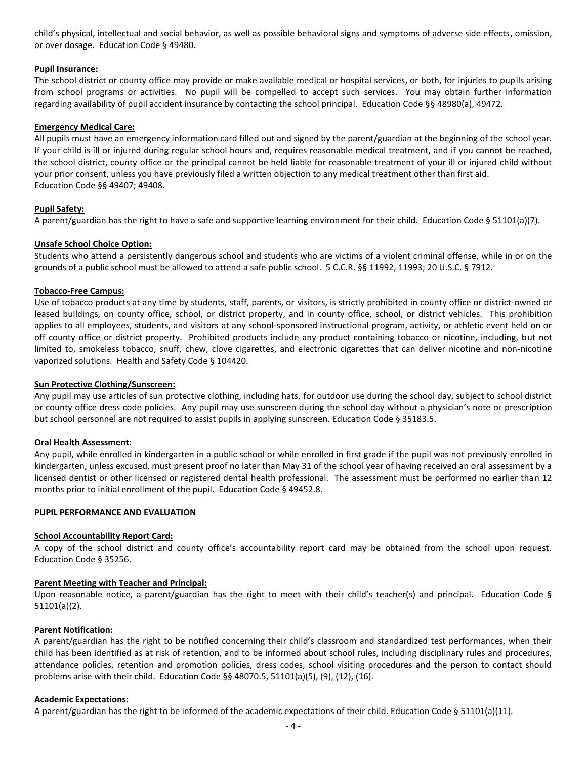child's physical, intellectual and social behavior, as well as possible behavioral signs and symptoms of adverse side effects, omission, or over dosage. Education Code § 49480.

### **Pupil Insurance:**

The school district or county office may provide or make available medical or hospital services, or both, for injuries to pupils arising from school programs or activities. No pupil will be compelled to accept such services. You may obtain further information regarding availability of pupil accident insurance by contacting the school principal. Education Code §§ 48980(a), 49472.

### **Emergency Medical Care:**

All pupils must have an emergency information card filled out and signed by the parent/guardian at the beginning of the school year. If your child is ill or injured during regular school hours and, requires reasonable medical treatment, and if you cannot be reached, the school district, county office or the principal cannot be held liable for reasonable treatment of your ill or injured child without your prior consent, unless you have previously filed a written objection to any medical treatment other than first aid. Education Code §§ 49407; 49408.

### **Pupil Safety:**

A parent/guardian has the right to have a safe and supportive learning environment for their child. Education Code § 51101(a)(7).

### **Unsafe School Choice Option:**

Students who attend a persistently dangerous school and students who are victims of a violent criminal offense, while in or on the grounds of a public school must be allowed to attend a safe public school. 5 C.C.R. §§ 11992, 11993; 20 U.S.C. § 7912.

### **Tobacco-Free Campus:**

Use of tobacco products at any time by students, staff, parents, or visitors, is strictly prohibited in county office or district-owned or leased buildings, on county office, school, or district property, and in county office, school, or district vehicles. This prohibition applies to all employees, students, and visitors at any school-sponsored instructional program, activity, or athletic event held on or off county office or district property. Prohibited products include any product containing tobacco or nicotine, including, but not limited to, smokeless tobacco, snuff, chew, clove cigarettes, and electronic cigarettes that can deliver nicotine and non-nicotine vaporized solutions. Health and Safety Code § 104420.

#### **Sun Protective Clothing/Sunscreen:**

Any pupil may use articles of sun protective clothing, including hats, for outdoor use during the school day, subject to school district or county office dress code policies. Any pupil may use sunscreen during the school day without a physician's note or prescription but school personnel are not required to assist pupils in applying sunscreen. Education Code § 35183.5.

#### **Oral Health Assessment:**

Any pupil, while enrolled in kindergarten in a public school or while enrolled in first grade if the pupil was not previously enrolled in kindergarten, unless excused, must present proof no later than May 31 of the school year of having received an oral assessment by a licensed dentist or other licensed or registered dental health professional. The assessment must be performed no earlier than 12 months prior to initial enrollment of the pupil. Education Code § 49452.8.

#### **PUPIL PERFORMANCE AND EVALUATION**

### **School Accountability Report Card:**

A copy of the school district and county office's accountability report card may be obtained from the school upon request. Education Code § 35256.

#### **Parent Meeting with Teacher and Principal:**

Upon reasonable notice, a parent/guardian has the right to meet with their child's teacher(s) and principal. Education Code § 51101(a)(2).

#### **Parent Notification:**

A parent/guardian has the right to be notified concerning their child's classroom and standardized test performances, when their child has been identified as at risk of retention, and to be informed about school rules, including disciplinary rules and procedures, attendance policies, retention and promotion policies, dress codes, school visiting procedures and the person to contact should problems arise with their child. Education Code §§ 48070.5, 51101(a)(5), (9), (12), (16).

#### **Academic Expectations:**

A parent/guardian has the right to be informed of the academic expectations of their child. Education Code § 51101(a)(11).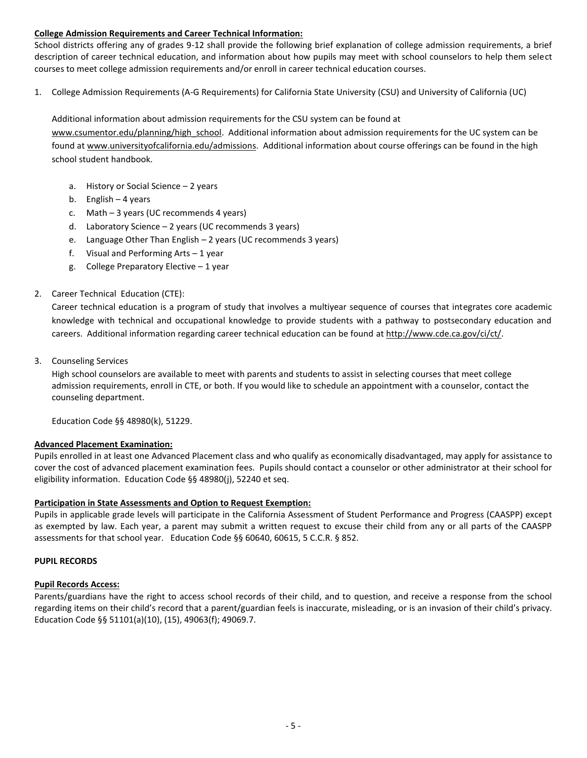# **College Admission Requirements and Career Technical Information:**

School districts offering any of grades 9-12 shall provide the following brief explanation of college admission requirements, a brief description of career technical education, and information about how pupils may meet with school counselors to help them select courses to meet college admission requirements and/or enroll in career technical education courses.

1. College Admission Requirements (A-G Requirements) for California State University (CSU) and University of California (UC)

Additional information about admission requirements for the CSU system can be found at [www.csumentor.edu/planning/high\\_school.](http://www.csumentor.edu/planning/high_school) Additional information about admission requirements for the UC system can be found a[t www.universityofcalifornia.edu/admissions.](http://www.universityofcalifornia.edu/admissions) Additional information about course offerings can be found in the high school student handbook.

- a. History or Social Science 2 years
- b. English 4 years
- c. Math 3 years (UC recommends 4 years)
- d. Laboratory Science 2 years (UC recommends 3 years)
- e. Language Other Than English 2 years (UC recommends 3 years)
- f. Visual and Performing Arts 1 year
- g. College Preparatory Elective 1 year

# 2. Career Technical Education (CTE):

Career technical education is a program of study that involves a multiyear sequence of courses that integrates core academic knowledge with technical and occupational knowledge to provide students with a pathway to postsecondary education and careers. Additional information regarding career technical education can be found at http://www.cde.ca.gov/ci/ct/.

3. Counseling Services

High school counselors are available to meet with parents and students to assist in selecting courses that meet college admission requirements, enroll in CTE, or both. If you would like to schedule an appointment with a counselor, contact the counseling department.

Education Code §§ 48980(k), 51229.

# **Advanced Placement Examination:**

Pupils enrolled in at least one Advanced Placement class and who qualify as economically disadvantaged, may apply for assistance to cover the cost of advanced placement examination fees. Pupils should contact a counselor or other administrator at their school for eligibility information. Education Code §§ 48980(j), 52240 et seq.

# **Participation in State Assessments and Option to Request Exemption:**

Pupils in applicable grade levels will participate in the California Assessment of Student Performance and Progress (CAASPP) except as exempted by law. Each year, a parent may submit a written request to excuse their child from any or all parts of the CAASPP assessments for that school year. Education Code §§ 60640, 60615, 5 C.C.R. § 852.

# **PUPIL RECORDS**

# **Pupil Records Access:**

Parents/guardians have the right to access school records of their child, and to question, and receive a response from the school regarding items on their child's record that a parent/guardian feels is inaccurate, misleading, or is an invasion of their child's privacy. Education Code §§ 51101(a)(10), (15), 49063(f); 49069.7.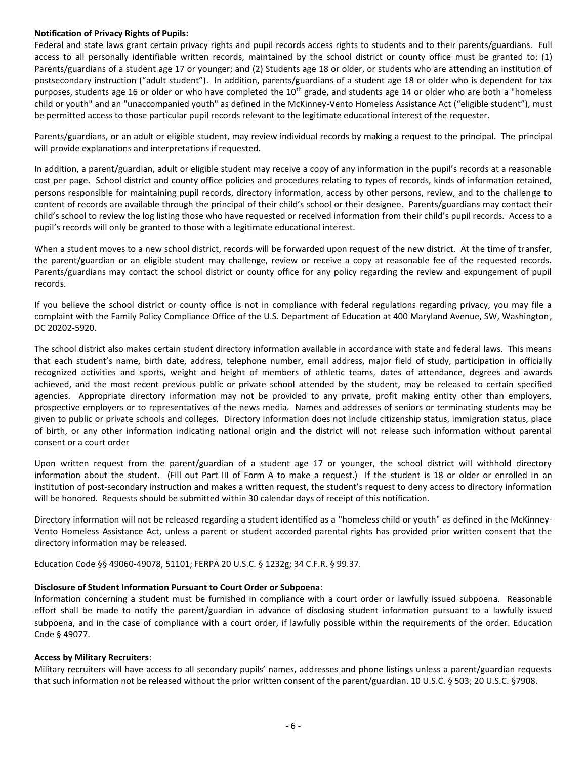### **Notification of Privacy Rights of Pupils:**

Federal and state laws grant certain privacy rights and pupil records access rights to students and to their parents/guardians. Full access to all personally identifiable written records, maintained by the school district or county office must be granted to: (1) Parents/guardians of a student age 17 or younger; and (2) Students age 18 or older, or students who are attending an institution of postsecondary instruction ("adult student"). In addition, parents/guardians of a student age 18 or older who is dependent for tax purposes, students age 16 or older or who have completed the 10<sup>th</sup> grade, and students age 14 or older who are both a "homeless child or youth" and an "unaccompanied youth" as defined in the McKinney-Vento Homeless Assistance Act ("eligible student"), must be permitted access to those particular pupil records relevant to the legitimate educational interest of the requester.

Parents/guardians, or an adult or eligible student, may review individual records by making a request to the principal. The principal will provide explanations and interpretations if requested.

In addition, a parent/guardian, adult or eligible student may receive a copy of any information in the pupil's records at a reasonable cost per page. School district and county office policies and procedures relating to types of records, kinds of information retained, persons responsible for maintaining pupil records, directory information, access by other persons, review, and to the challenge to content of records are available through the principal of their child's school or their designee. Parents/guardians may contact their child's school to review the log listing those who have requested or received information from their child's pupil records. Access to a pupil's records will only be granted to those with a legitimate educational interest.

When a student moves to a new school district, records will be forwarded upon request of the new district. At the time of transfer, the parent/guardian or an eligible student may challenge, review or receive a copy at reasonable fee of the requested records. Parents/guardians may contact the school district or county office for any policy regarding the review and expungement of pupil records.

If you believe the school district or county office is not in compliance with federal regulations regarding privacy, you may file a complaint with the Family Policy Compliance Office of the U.S. Department of Education at 400 Maryland Avenue, SW, Washington, DC 20202-5920.

The school district also makes certain student directory information available in accordance with state and federal laws. This means that each student's name, birth date, address, telephone number, email address, major field of study, participation in officially recognized activities and sports, weight and height of members of athletic teams, dates of attendance, degrees and awards achieved, and the most recent previous public or private school attended by the student, may be released to certain specified agencies. Appropriate directory information may not be provided to any private, profit making entity other than employers, prospective employers or to representatives of the news media. Names and addresses of seniors or terminating students may be given to public or private schools and colleges. Directory information does not include citizenship status, immigration status, place of birth, or any other information indicating national origin and the district will not release such information without parental consent or a court order

Upon written request from the parent/guardian of a student age 17 or younger, the school district will withhold directory information about the student. (Fill out Part III of Form A to make a request.) If the student is 18 or older or enrolled in an institution of post-secondary instruction and makes a written request, the student's request to deny access to directory information will be honored. Requests should be submitted within 30 calendar days of receipt of this notification.

Directory information will not be released regarding a student identified as a "homeless child or youth" as defined in the McKinney-Vento Homeless Assistance Act, unless a parent or student accorded parental rights has provided prior written consent that the directory information may be released.

Education Code §§ 49060-49078, 51101; FERPA 20 U.S.C. § 1232g; 34 C.F.R. § 99.37.

# **Disclosure of Student Information Pursuant to Court Order or Subpoena**:

Information concerning a student must be furnished in compliance with a court order or lawfully issued subpoena. Reasonable effort shall be made to notify the parent/guardian in advance of disclosing student information pursuant to a lawfully issued subpoena, and in the case of compliance with a court order, if lawfully possible within the requirements of the order. Education Code § 49077.

#### **Access by Military Recruiters**:

Military recruiters will have access to all secondary pupils' names, addresses and phone listings unless a parent/guardian requests that such information not be released without the prior written consent of the parent/guardian. 10 U.S.C. § 503; 20 U.S.C. §7908.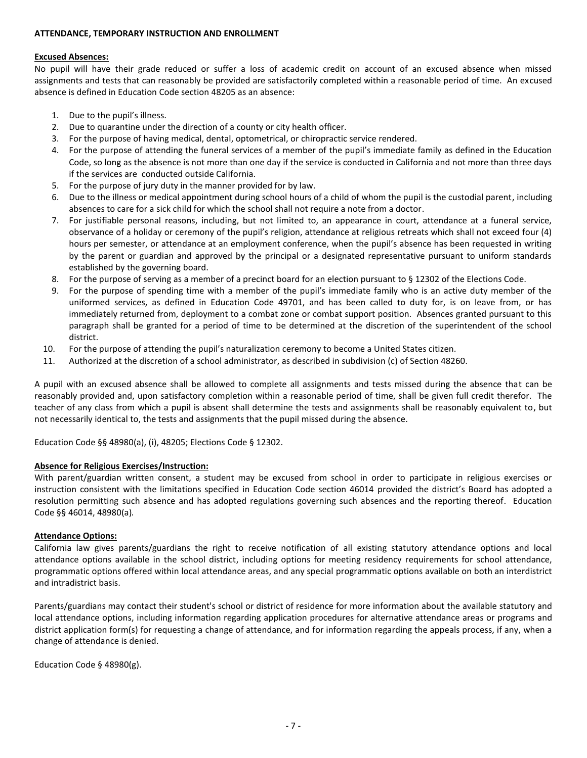### **ATTENDANCE, TEMPORARY INSTRUCTION AND ENROLLMENT**

### **Excused Absences:**

No pupil will have their grade reduced or suffer a loss of academic credit on account of an excused absence when missed assignments and tests that can reasonably be provided are satisfactorily completed within a reasonable period of time. An excused absence is defined in Education Code section 48205 as an absence:

- 1. Due to the pupil's illness.
- 2. Due to quarantine under the direction of a county or city health officer.
- 3. For the purpose of having medical, dental, optometrical, or chiropractic service rendered.
- 4. For the purpose of attending the funeral services of a member of the pupil's immediate family as defined in the Education Code, so long as the absence is not more than one day if the service is conducted in California and not more than three days if the services are conducted outside California.
- 5. For the purpose of jury duty in the manner provided for by law.
- 6. Due to the illness or medical appointment during school hours of a child of whom the pupil is the custodial parent, including absences to care for a sick child for which the school shall not require a note from a doctor.
- 7. For justifiable personal reasons, including, but not limited to, an appearance in court, attendance at a funeral service, observance of a holiday or ceremony of the pupil's religion, attendance at religious retreats which shall not exceed four (4) hours per semester, or attendance at an employment conference, when the pupil's absence has been requested in writing by the parent or guardian and approved by the principal or a designated representative pursuant to uniform standards established by the governing board.
- 8. For the purpose of serving as a member of a precinct board for an election pursuant to § 12302 of the Elections Code.
- 9. For the purpose of spending time with a member of the pupil's immediate family who is an active duty member of the uniformed services, as defined in Education Code 49701, and has been called to duty for, is on leave from, or has immediately returned from, deployment to a combat zone or combat support position. Absences granted pursuant to this paragraph shall be granted for a period of time to be determined at the discretion of the superintendent of the school district.
- 10. For the purpose of attending the pupil's naturalization ceremony to become a United States citizen.
- 11. Authorized at the discretion of a school administrator, as described in subdivision (c) of Section 48260.

A pupil with an excused absence shall be allowed to complete all assignments and tests missed during the absence that can be reasonably provided and, upon satisfactory completion within a reasonable period of time, shall be given full credit therefor. The teacher of any class from which a pupil is absent shall determine the tests and assignments shall be reasonably equivalent to, but not necessarily identical to, the tests and assignments that the pupil missed during the absence.

Education Code §§ 48980(a), (i), 48205; Elections Code § 12302.

# **Absence for Religious Exercises/Instruction:**

With parent/guardian written consent, a student may be excused from school in order to participate in religious exercises or instruction consistent with the limitations specified in Education Code section 46014 provided the district's Board has adopted a resolution permitting such absence and has adopted regulations governing such absences and the reporting thereof. Education Code §§ 46014, 48980(a)*.*

# **Attendance Options:**

California law gives parents/guardians the right to receive notification of all existing statutory attendance options and local attendance options available in the school district, including options for meeting residency requirements for school attendance, programmatic options offered within local attendance areas, and any special programmatic options available on both an interdistrict and intradistrict basis.

Parents/guardians may contact their student's school or district of residence for more information about the available statutory and local attendance options, including information regarding application procedures for alternative attendance areas or programs and district application form(s) for requesting a change of attendance, and for information regarding the appeals process, if any, when a change of attendance is denied.

Education Code § 48980(g).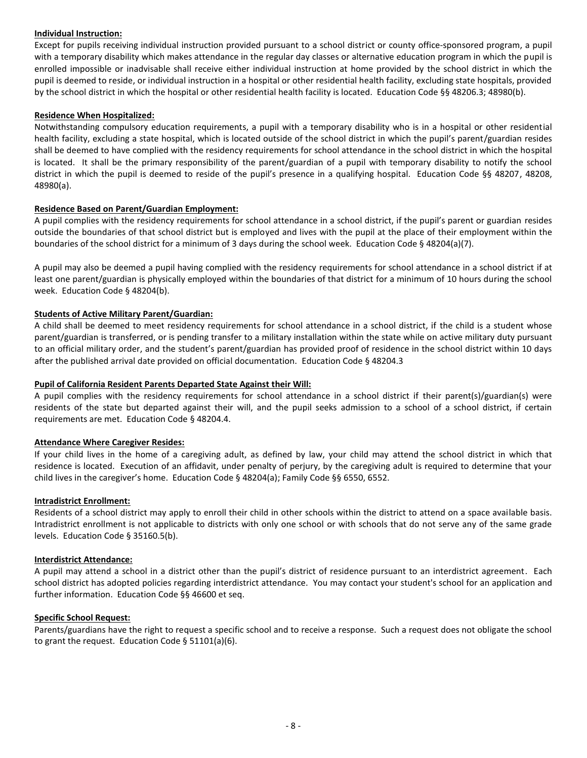# **Individual Instruction:**

Except for pupils receiving individual instruction provided pursuant to a school district or county office-sponsored program, a pupil with a temporary disability which makes attendance in the regular day classes or alternative education program in which the pupil is enrolled impossible or inadvisable shall receive either individual instruction at home provided by the school district in which the pupil is deemed to reside, or individual instruction in a hospital or other residential health facility, excluding state hospitals, provided by the school district in which the hospital or other residential health facility is located. Education Code §§ 48206.3; 48980(b).

# **Residence When Hospitalized:**

Notwithstanding compulsory education requirements, a pupil with a temporary disability who is in a hospital or other residential health facility, excluding a state hospital, which is located outside of the school district in which the pupil's parent/guardian resides shall be deemed to have complied with the residency requirements for school attendance in the school district in which the hospital is located. It shall be the primary responsibility of the parent/guardian of a pupil with temporary disability to notify the school district in which the pupil is deemed to reside of the pupil's presence in a qualifying hospital. Education Code §§ 48207, 48208, 48980(a).

# **Residence Based on Parent/Guardian Employment:**

A pupil complies with the residency requirements for school attendance in a school district, if the pupil's parent or guardian resides outside the boundaries of that school district but is employed and lives with the pupil at the place of their employment within the boundaries of the school district for a minimum of 3 days during the school week. Education Code § 48204(a)(7).

A pupil may also be deemed a pupil having complied with the residency requirements for school attendance in a school district if at least one parent/guardian is physically employed within the boundaries of that district for a minimum of 10 hours during the school week. Education Code § 48204(b).

# **Students of Active Military Parent/Guardian:**

A child shall be deemed to meet residency requirements for school attendance in a school district, if the child is a student whose parent/guardian is transferred, or is pending transfer to a military installation within the state while on active military duty pursuant to an official military order, and the student's parent/guardian has provided proof of residence in the school district within 10 days after the published arrival date provided on official documentation. Education Code § 48204.3

# **Pupil of California Resident Parents Departed State Against their Will:**

A pupil complies with the residency requirements for school attendance in a school district if their parent(s)/guardian(s) were residents of the state but departed against their will, and the pupil seeks admission to a school of a school district, if certain requirements are met. Education Code § 48204.4.

# **Attendance Where Caregiver Resides:**

If your child lives in the home of a caregiving adult, as defined by law, your child may attend the school district in which that residence is located. Execution of an affidavit, under penalty of perjury, by the caregiving adult is required to determine that your child lives in the caregiver's home. Education Code § 48204(a); Family Code §§ 6550, 6552.

# **Intradistrict Enrollment:**

Residents of a school district may apply to enroll their child in other schools within the district to attend on a space available basis. Intradistrict enrollment is not applicable to districts with only one school or with schools that do not serve any of the same grade levels. Education Code § 35160.5(b).

# **Interdistrict Attendance:**

A pupil may attend a school in a district other than the pupil's district of residence pursuant to an interdistrict agreement. Each school district has adopted policies regarding interdistrict attendance. You may contact your student's school for an application and further information. Education Code §§ 46600 et seq.

# **Specific School Request:**

Parents/guardians have the right to request a specific school and to receive a response. Such a request does not obligate the school to grant the request. Education Code § 51101(a)(6).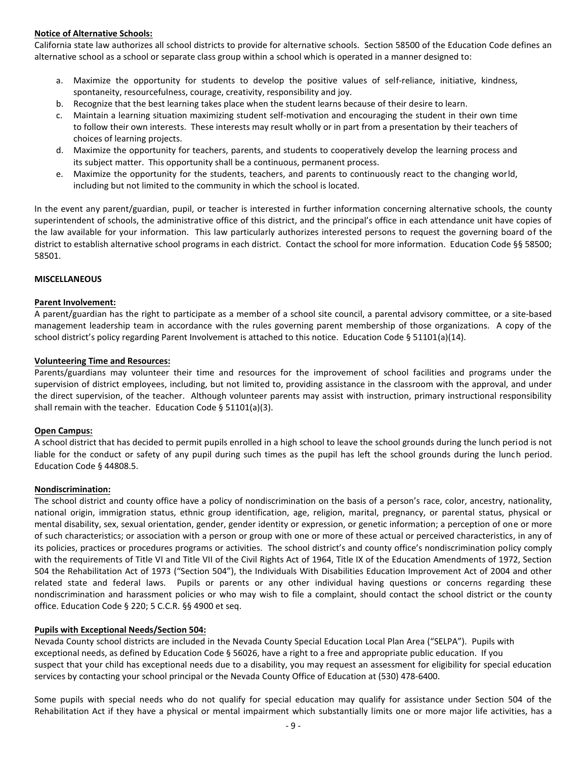# **Notice of Alternative Schools:**

California state law authorizes all school districts to provide for alternative schools. Section 58500 of the Education Code defines an alternative school as a school or separate class group within a school which is operated in a manner designed to:

- Maximize the opportunity for students to develop the positive values of self-reliance, initiative, kindness, spontaneity, resourcefulness, courage, creativity, responsibility and joy.
- b. Recognize that the best learning takes place when the student learns because of their desire to learn.
- c. Maintain a learning situation maximizing student self-motivation and encouraging the student in their own time to follow their own interests. These interests may result wholly or in part from a presentation by their teachers of choices of learning projects.
- d. Maximize the opportunity for teachers, parents, and students to cooperatively develop the learning process and its subject matter. This opportunity shall be a continuous, permanent process.
- e. Maximize the opportunity for the students, teachers, and parents to continuously react to the changing world, including but not limited to the community in which the school is located.

In the event any parent/guardian, pupil, or teacher is interested in further information concerning alternative schools, the county superintendent of schools, the administrative office of this district, and the principal's office in each attendance unit have copies of the law available for your information. This law particularly authorizes interested persons to request the governing board of the district to establish alternative school programs in each district. Contact the school for more information. Education Code §§ 58500; 58501.

# **MISCELLANEOUS**

# **Parent Involvement:**

A parent/guardian has the right to participate as a member of a school site council, a parental advisory committee, or a site-based management leadership team in accordance with the rules governing parent membership of those organizations. A copy of the school district's policy regarding Parent Involvement is attached to this notice. Education Code § 51101(a)(14).

# **Volunteering Time and Resources:**

Parents/guardians may volunteer their time and resources for the improvement of school facilities and programs under the supervision of district employees, including, but not limited to, providing assistance in the classroom with the approval, and under the direct supervision, of the teacher. Although volunteer parents may assist with instruction, primary instructional responsibility shall remain with the teacher. Education Code § 51101(a)(3).

# **Open Campus:**

A school district that has decided to permit pupils enrolled in a high school to leave the school grounds during the lunch period is not liable for the conduct or safety of any pupil during such times as the pupil has left the school grounds during the lunch period. Education Code § 44808.5.

# **Nondiscrimination:**

The school district and county office have a policy of nondiscrimination on the basis of a person's race, color, ancestry, nationality, national origin, immigration status, ethnic group identification, age, religion, marital, pregnancy, or parental status, physical or mental disability, sex, sexual orientation, gender, gender identity or expression, or genetic information; a perception of one or more of such characteristics; or association with a person or group with one or more of these actual or perceived characteristics, in any of its policies, practices or procedures programs or activities. The school district's and county office's nondiscrimination policy comply with the requirements of Title VI and Title VII of the Civil Rights Act of 1964, Title IX of the Education Amendments of 1972, Section 504 the Rehabilitation Act of 1973 ("Section 504"), the Individuals With Disabilities Education Improvement Act of 2004 and other related state and federal laws. Pupils or parents or any other individual having questions or concerns regarding these nondiscrimination and harassment policies or who may wish to file a complaint, should contact the school district or the county office. Education Code § 220; 5 C.C.R. §§ 4900 et seq.

# **Pupils with Exceptional Needs/Section 504:**

Nevada County school districts are included in the Nevada County Special Education Local Plan Area ("SELPA"). Pupils with exceptional needs, as defined by Education Code § 56026, have a right to a free and appropriate public education. If you suspect that your child has exceptional needs due to a disability, you may request an assessment for eligibility for special education services by contacting your school principal or the Nevada County Office of Education at (530) 478-6400.

Some pupils with special needs who do not qualify for special education may qualify for assistance under Section 504 of the Rehabilitation Act if they have a physical or mental impairment which substantially limits one or more major life activities, has a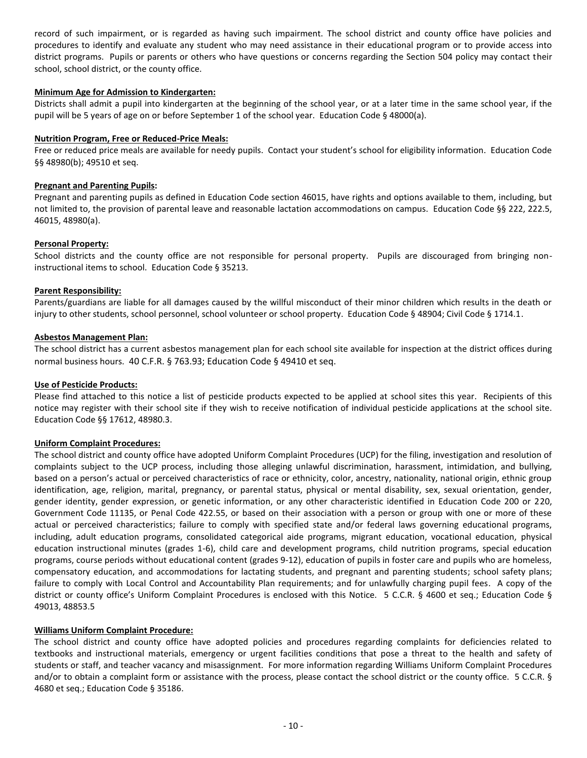record of such impairment, or is regarded as having such impairment. The school district and county office have policies and procedures to identify and evaluate any student who may need assistance in their educational program or to provide access into district programs. Pupils or parents or others who have questions or concerns regarding the Section 504 policy may contact their school, school district, or the county office.

#### **Minimum Age for Admission to Kindergarten:**

Districts shall admit a pupil into kindergarten at the beginning of the school year, or at a later time in the same school year, if the pupil will be 5 years of age on or before September 1 of the school year. Education Code § 48000(a).

### **Nutrition Program, Free or Reduced-Price Meals:**

Free or reduced price meals are available for needy pupils. Contact your student's school for eligibility information. Education Code §§ 48980(b); 49510 et seq.

#### **Pregnant and Parenting Pupils:**

Pregnant and parenting pupils as defined in Education Code section 46015, have rights and options available to them, including, but not limited to, the provision of parental leave and reasonable lactation accommodations on campus. Education Code §§ 222, 222.5, 46015, 48980(a).

#### **Personal Property:**

School districts and the county office are not responsible for personal property. Pupils are discouraged from bringing noninstructional items to school. Education Code § 35213.

### **Parent Responsibility:**

Parents/guardians are liable for all damages caused by the willful misconduct of their minor children which results in the death or injury to other students, school personnel, school volunteer or school property. Education Code § 48904; Civil Code § 1714.1.

### **Asbestos Management Plan:**

The school district has a current asbestos management plan for each school site available for inspection at the district offices during normal business hours. 40 C.F.R. § 763.93; Education Code § 49410 et seq.

# **Use of Pesticide Products:**

Please find attached to this notice a list of pesticide products expected to be applied at school sites this year. Recipients of this notice may register with their school site if they wish to receive notification of individual pesticide applications at the school site. Education Code §§ 17612, 48980.3.

#### **Uniform Complaint Procedures:**

The school district and county office have adopted Uniform Complaint Procedures (UCP) for the filing, investigation and resolution of complaints subject to the UCP process, including those alleging unlawful discrimination, harassment, intimidation, and bullying, based on a person's actual or perceived characteristics of race or ethnicity, color, ancestry, nationality, national origin, ethnic group identification, age, religion, marital, pregnancy, or parental status, physical or mental disability, sex, sexual orientation, gender, gender identity, gender expression, or genetic information, or any other characteristic identified in Education Code 200 or 220, Government Code 11135, or Penal Code 422.55, or based on their association with a person or group with one or more of these actual or perceived characteristics; failure to comply with specified state and/or federal laws governing educational programs, including, adult education programs, consolidated categorical aide programs, migrant education, vocational education, physical education instructional minutes (grades 1-6), child care and development programs, child nutrition programs, special education programs, course periods without educational content (grades 9-12), education of pupils in foster care and pupils who are homeless, compensatory education, and accommodations for lactating students, and pregnant and parenting students; school safety plans; failure to comply with Local Control and Accountability Plan requirements; and for unlawfully charging pupil fees. A copy of the district or county office's Uniform Complaint Procedures is enclosed with this Notice. 5 C.C.R. § 4600 et seq.; Education Code § 49013, 48853.5

# **Williams Uniform Complaint Procedure:**

The school district and county office have adopted policies and procedures regarding complaints for deficiencies related to textbooks and instructional materials, emergency or urgent facilities conditions that pose a threat to the health and safety of students or staff, and teacher vacancy and misassignment. For more information regarding Williams Uniform Complaint Procedures and/or to obtain a complaint form or assistance with the process, please contact the school district or the county office. 5 C.C.R. § 4680 et seq.; Education Code § 35186.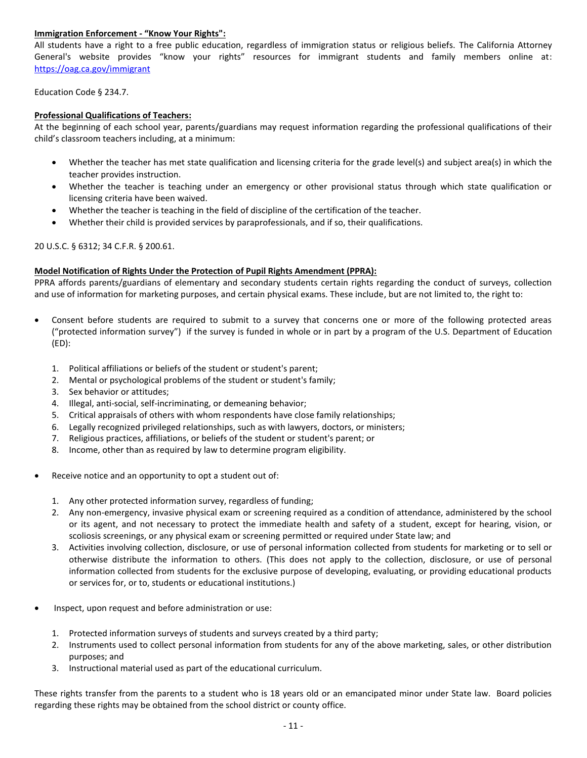# **Immigration Enforcement - "Know Your Rights":**

All students have a right to a free public education, regardless of immigration status or religious beliefs. The California Attorney General's website provides "know your rights" resources for immigrant students and family members online at: <https://oag.ca.gov/immigrant>

Education Code § 234.7.

# **Professional Qualifications of Teachers:**

At the beginning of each school year, parents/guardians may request information regarding the professional qualifications of their child's classroom teachers including, at a minimum:

- Whether the teacher has met state qualification and licensing criteria for the grade level(s) and subject area(s) in which the teacher provides instruction.
- Whether the teacher is teaching under an emergency or other provisional status through which state qualification or licensing criteria have been waived.
- Whether the teacher is teaching in the field of discipline of the certification of the teacher.
- Whether their child is provided services by paraprofessionals, and if so, their qualifications.

20 U.S.C. § 6312; 34 C.F.R. § 200.61.

# **Model Notification of Rights Under the Protection of Pupil Rights Amendment (PPRA):**

PPRA affords parents/guardians of elementary and secondary students certain rights regarding the conduct of surveys, collection and use of information for marketing purposes, and certain physical exams. These include, but are not limited to, the right to:

- Consent before students are required to submit to a survey that concerns one or more of the following protected areas ("protected information survey") if the survey is funded in whole or in part by a program of the U.S. Department of Education (ED):
	- 1. Political affiliations or beliefs of the student or student's parent;
	- 2. Mental or psychological problems of the student or student's family;
	- 3. Sex behavior or attitudes;
	- 4. Illegal, anti-social, self-incriminating, or demeaning behavior;
	- 5. Critical appraisals of others with whom respondents have close family relationships;
	- 6. Legally recognized privileged relationships, such as with lawyers, doctors, or ministers;
	- 7. Religious practices, affiliations, or beliefs of the student or student's parent; or
	- 8. Income, other than as required by law to determine program eligibility.
- Receive notice and an opportunity to opt a student out of:
	- 1. Any other protected information survey, regardless of funding;
	- 2. Any non-emergency, invasive physical exam or screening required as a condition of attendance, administered by the school or its agent, and not necessary to protect the immediate health and safety of a student, except for hearing, vision, or scoliosis screenings, or any physical exam or screening permitted or required under State law; and
	- 3. Activities involving collection, disclosure, or use of personal information collected from students for marketing or to sell or otherwise distribute the information to others. (This does not apply to the collection, disclosure, or use of personal information collected from students for the exclusive purpose of developing, evaluating, or providing educational products or services for, or to, students or educational institutions.)
- Inspect, upon request and before administration or use:
	- 1. Protected information surveys of students and surveys created by a third party;
	- 2. Instruments used to collect personal information from students for any of the above marketing, sales, or other distribution purposes; and
	- 3. Instructional material used as part of the educational curriculum.

These rights transfer from the parents to a student who is 18 years old or an emancipated minor under State law. Board policies regarding these rights may be obtained from the school district or county office.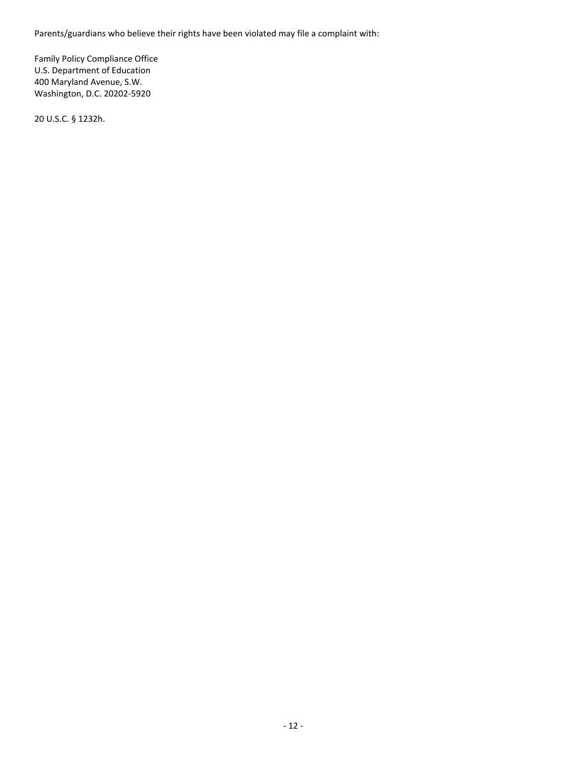Parents/guardians who believe their rights have been violated may file a complaint with:

Family Policy Compliance Office U.S. Department of Education 400 Maryland Avenue, S.W. Washington, D.C. 20202-5920

20 U.S.C. § 1232h.